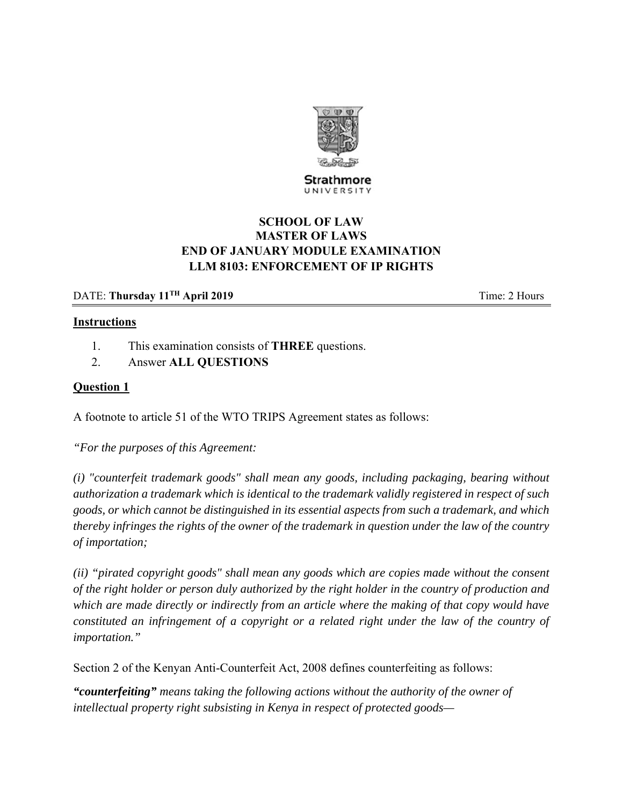

Strathmore UNIVERSITY

# **SCHOOL OF LAW MASTER OF LAWS END OF JANUARY MODULE EXAMINATION LLM 8103: ENFORCEMENT OF IP RIGHTS**

## DATE: **Thursday 11<sup>TH</sup> April 2019 Time: 2 Hours**

#### **Instructions**

- 1. This examination consists of **THREE** questions.
- 2. Answer **ALL QUESTIONS**

#### **Question 1**

A footnote to article 51 of the WTO TRIPS Agreement states as follows:

*"For the purposes of this Agreement:* 

*(i) "counterfeit trademark goods" shall mean any goods, including packaging, bearing without authorization a trademark which is identical to the trademark validly registered in respect of such goods, or which cannot be distinguished in its essential aspects from such a trademark, and which thereby infringes the rights of the owner of the trademark in question under the law of the country of importation;* 

*(ii) "pirated copyright goods" shall mean any goods which are copies made without the consent of the right holder or person duly authorized by the right holder in the country of production and which are made directly or indirectly from an article where the making of that copy would have constituted an infringement of a copyright or a related right under the law of the country of importation."* 

Section 2 of the Kenyan Anti-Counterfeit Act, 2008 defines counterfeiting as follows:

*"counterfeiting" means taking the following actions without the authority of the owner of intellectual property right subsisting in Kenya in respect of protected goods—*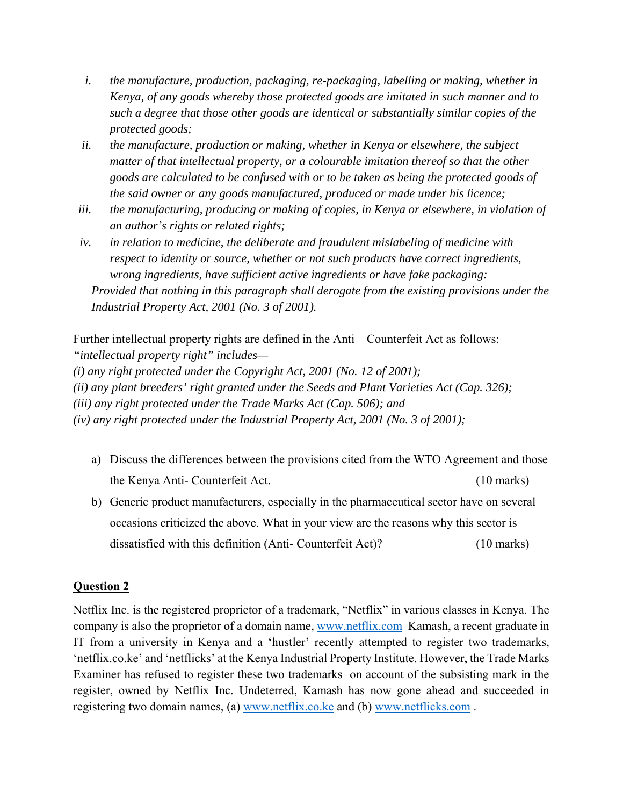- *i. the manufacture, production, packaging, re-packaging, labelling or making, whether in Kenya, of any goods whereby those protected goods are imitated in such manner and to such a degree that those other goods are identical or substantially similar copies of the protected goods;*
- *ii. the manufacture, production or making, whether in Kenya or elsewhere, the subject matter of that intellectual property, or a colourable imitation thereof so that the other goods are calculated to be confused with or to be taken as being the protected goods of the said owner or any goods manufactured, produced or made under his licence;*
- *iii. the manufacturing, producing or making of copies, in Kenya or elsewhere, in violation of an author's rights or related rights;*
- *iv. in relation to medicine, the deliberate and fraudulent mislabeling of medicine with respect to identity or source, whether or not such products have correct ingredients, wrong ingredients, have sufficient active ingredients or have fake packaging: Provided that nothing in this paragraph shall derogate from the existing provisions under the Industrial Property Act, 2001 (No. 3 of 2001).*

Further intellectual property rights are defined in the Anti – Counterfeit Act as follows: *"intellectual property right" includes—* 

*(i) any right protected under the Copyright Act, 2001 (No. 12 of 2001);* 

*(ii) any plant breeders' right granted under the Seeds and Plant Varieties Act (Cap. 326);* 

*(iii) any right protected under the Trade Marks Act (Cap. 506); and* 

*(iv) any right protected under the Industrial Property Act, 2001 (No. 3 of 2001);* 

- a) Discuss the differences between the provisions cited from the WTO Agreement and those the Kenya Anti- Counterfeit Act. (10 marks)
- b) Generic product manufacturers, especially in the pharmaceutical sector have on several occasions criticized the above. What in your view are the reasons why this sector is dissatisfied with this definition (Anti- Counterfeit Act)? (10 marks)

## **Question 2**

Netflix Inc. is the registered proprietor of a trademark, "Netflix" in various classes in Kenya. The company is also the proprietor of a domain name, www.netflix.com Kamash, a recent graduate in IT from a university in Kenya and a 'hustler' recently attempted to register two trademarks, 'netflix.co.ke' and 'netflicks' at the Kenya Industrial Property Institute. However, the Trade Marks Examiner has refused to register these two trademarks on account of the subsisting mark in the register, owned by Netflix Inc. Undeterred, Kamash has now gone ahead and succeeded in registering two domain names, (a) www.netflix.co.ke and (b) www.netflicks.com .